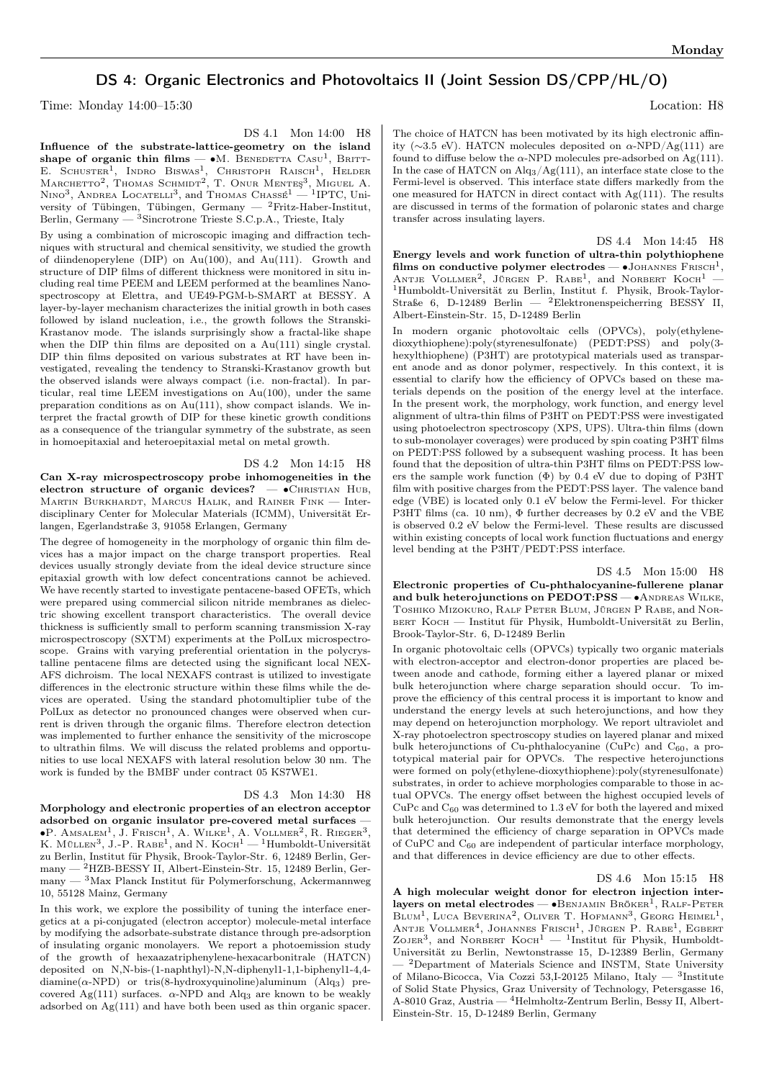## DS 4: Organic Electronics and Photovoltaics II (Joint Session DS/CPP/HL/O)

Time: Monday 14:00–15:30 Location: H8

DS 4.1 Mon 14:00 H8

Influence of the substrate-lattice-geometry on the island shape of organic thin films —  $\bullet$ M. BENEDETTA CASU<sup>1</sup>, BRITT-E. SCHUSTER<sup>1</sup>, INDRO BISWAS<sup>1</sup>, CHRISTOPH RAISCH<sup>1</sup>, HELDER Marchetto<sup>2</sup>, Thomas Schmidt<sup>2</sup>, T. Onur Menteş<sup>3</sup>, Miguel A.<br>Nino<sup>3</sup>, Andrea Locatelli<sup>3</sup>, and Thomas Chassé<sup>1</sup> — <sup>1</sup>IPTC, University of Tübingen, Tübingen, Germany — <sup>2</sup>Fritz-Haber-Institut, Berlin, Germany — <sup>3</sup>Sincrotrone Trieste S.C.p.A., Trieste, Italy

By using a combination of microscopic imaging and diffraction techniques with structural and chemical sensitivity, we studied the growth of diindenoperylene (DIP) on Au(100), and Au(111). Growth and structure of DIP films of different thickness were monitored in situ including real time PEEM and LEEM performed at the beamlines Nanospectroscopy at Elettra, and UE49-PGM-b-SMART at BESSY. A layer-by-layer mechanism characterizes the initial growth in both cases followed by island nucleation, i.e., the growth follows the Stranski-Krastanov mode. The islands surprisingly show a fractal-like shape when the DIP thin films are deposited on a Au(111) single crystal. DIP thin films deposited on various substrates at RT have been investigated, revealing the tendency to Stranski-Krastanov growth but the observed islands were always compact (i.e. non-fractal). In particular, real time LEEM investigations on Au(100), under the same preparation conditions as on Au(111), show compact islands. We interpret the fractal growth of DIP for these kinetic growth conditions as a consequence of the triangular symmetry of the substrate, as seen in homoepitaxial and heteroepitaxial metal on metal growth.

DS 4.2 Mon 14:15 H8 Can X-ray microspectroscopy probe inhomogeneities in the electron structure of organic devices?  $-$  •CHRISTIAN HUB, Martin Burkhardt, Marcus Halik, and Rainer Fink — Interdisciplinary Center for Molecular Materials (ICMM), Universität Erlangen, Egerlandstraße 3, 91058 Erlangen, Germany

The degree of homogeneity in the morphology of organic thin film devices has a major impact on the charge transport properties. Real devices usually strongly deviate from the ideal device structure since epitaxial growth with low defect concentrations cannot be achieved. We have recently started to investigate pentacene-based OFETs, which were prepared using commercial silicon nitride membranes as dielectric showing excellent transport characteristics. The overall device thickness is sufficiently small to perform scanning transmission X-ray microspectroscopy (SXTM) experiments at the PolLux microspectroscope. Grains with varying preferential orientation in the polycrystalline pentacene films are detected using the significant local NEX-AFS dichroism. The local NEXAFS contrast is utilized to investigate differences in the electronic structure within these films while the devices are operated. Using the standard photomultiplier tube of the PolLux as detector no pronounced changes were observed when current is driven through the organic films. Therefore electron detection was implemented to further enhance the sensitivity of the microscope to ultrathin films. We will discuss the related problems and opportunities to use local NEXAFS with lateral resolution below 30 nm. The work is funded by the BMBF under contract 05 KS7WE1.

## DS 4.3 Mon 14:30 H8

Morphology and electronic properties of an electron acceptor adsorbed on organic insulator pre-covered metal surfaces  $\cdot$  $\bullet$ P. Amsalem<sup>1</sup>, J. Frisch<sup>1</sup>, A. Wilke<sup>1</sup>, A. Vollmer<sup>2</sup>, R. Rieger<sup>3</sup>, K. MÜLLEN<sup>3</sup>, J.-P. RABE<sup>1</sup>, and N. Koch<sup>1</sup> - <sup>1</sup>Humboldt-Universität zu Berlin, Institut für Physik, Brook-Taylor-Str. 6, 12489 Berlin, Germany — <sup>2</sup>HZB-BESSY II, Albert-Einstein-Str. 15, 12489 Berlin, Germany — <sup>3</sup>Max Planck Institut für Polymerforschung, Ackermannweg 10, 55128 Mainz, Germany

In this work, we explore the possibility of tuning the interface energetics at a pi-conjugated (electron acceptor) molecule-metal interface by modifying the adsorbate-substrate distance through pre-adsorption of insulating organic monolayers. We report a photoemission study of the growth of hexaazatriphenylene-hexacarbonitrale (HATCN) deposited on N,N-bis-(1-naphthyl)-N,N-diphenyl1-1,1-biphenyl1-4,4  $diamine(\alpha-NPD)$  or tris(8-hydroxyquinoline)aluminum (Alq<sub>3</sub>) precovered Ag(111) surfaces.  $\alpha$ -NPD and Alq<sub>3</sub> are known to be weakly adsorbed on Ag(111) and have both been used as thin organic spacer.

The choice of HATCN has been motivated by its high electronic affinity (∼3.5 eV). HATCN molecules deposited on  $\alpha$ -NPD/Ag(111) are found to diffuse below the  $\alpha$ -NPD molecules pre-adsorbed on Ag(111). In the case of HATCN on Alq3/Ag(111), an interface state close to the Fermi-level is observed. This interface state differs markedly from the one measured for HATCN in direct contact with Ag(111). The results are discussed in terms of the formation of polaronic states and charge transfer across insulating layers.

DS 4.4 Mon 14:45 H8 Energy levels and work function of ultra-thin polythiophene films on conductive polymer electrodes —  $\bullet$ JOHANNES FRISCH<sup>1</sup>, ANTJE VOLLMER<sup>2</sup>, JÜRGEN P. RABE<sup>1</sup>, and NORBERT KOCH<sup>1</sup> -<sup>1</sup>Humboldt-Universität zu Berlin, Institut f. Physik, Brook-Taylor-Straße 6, D-12489 Berlin — <sup>2</sup>Elektronenspeicherring BESSY II, Albert-Einstein-Str. 15, D-12489 Berlin

In modern organic photovoltaic cells (OPVCs), poly(ethylenedioxythiophene):poly(styrenesulfonate) (PEDT:PSS) and poly(3 hexylthiophene) (P3HT) are prototypical materials used as transparent anode and as donor polymer, respectively. In this context, it is essential to clarify how the efficiency of OPVCs based on these materials depends on the position of the energy level at the interface. In the present work, the morphology, work function, and energy level alignment of ultra-thin films of P3HT on PEDT:PSS were investigated using photoelectron spectroscopy (XPS, UPS). Ultra-thin films (down to sub-monolayer coverages) were produced by spin coating P3HT films on PEDT:PSS followed by a subsequent washing process. It has been found that the deposition of ultra-thin P3HT films on PEDT:PSS lowers the sample work function  $(\Phi)$  by 0.4 eV due to doping of P3HT film with positive charges from the PEDT:PSS layer. The valence band edge (VBE) is located only 0.1 eV below the Fermi-level. For thicker P3HT films (ca. 10 nm), Φ further decreases by 0.2 eV and the VBE is observed 0.2 eV below the Fermi-level. These results are discussed within existing concepts of local work function fluctuations and energy level bending at the P3HT/PEDT:PSS interface.

DS 4.5 Mon 15:00 H8 Electronic properties of Cu-phthalocyanine-fullerene planar and bulk heterojunctions on PEDOT:PSS — • ANDREAS WILKE, Toshiko Mizokuro, Ralf Peter Blum, Jürgen P Rabe, and Nor-BERT KOCH - Institut für Physik, Humboldt-Universität zu Berlin, Brook-Taylor-Str. 6, D-12489 Berlin

In organic photovoltaic cells (OPVCs) typically two organic materials with electron-acceptor and electron-donor properties are placed between anode and cathode, forming either a layered planar or mixed bulk heterojunction where charge separation should occur. To improve the efficiency of this central process it is important to know and understand the energy levels at such heterojunctions, and how they may depend on heterojunction morphology. We report ultraviolet and X-ray photoelectron spectroscopy studies on layered planar and mixed bulk heterojunctions of Cu-phthalocyanine (CuPc) and  $C_{60}$ , a prototypical material pair for OPVCs. The respective heterojunctions were formed on poly(ethylene-dioxythiophene):poly(styrenesulfonate) substrates, in order to achieve morphologies comparable to those in actual OPVCs. The energy offset between the highest occupied levels of CuPc and  $C_{60}$  was determined to 1.3 eV for both the layered and mixed bulk heterojunction. Our results demonstrate that the energy levels that determined the efficiency of charge separation in OPVCs made of CuPC and C<sup>60</sup> are independent of particular interface morphology, and that differences in device efficiency are due to other effects.

DS 4.6 Mon 15:15 H8

A high molecular weight donor for electron injection interlayers on metal electrodes — • BENJAMIN BRÖKER<sup>1</sup>, RALF-PETER BLUM<sup>1</sup>, LUCA BEVERINA<sup>2</sup>, OLIVER T. HOFMANN<sup>3</sup>, GEORG HEIMEL<sup>1</sup>, ANTJE VOLLMER<sup>4</sup>, JOHANNES FRISCH<sup>1</sup>, JÜRGEN P. RABE<sup>1</sup>, EGBERT ZOJER<sup>3</sup>, and NORBERT KOCH<sup>1</sup> - <sup>1</sup>Institut für Physik, Humboldt-Universität zu Berlin, Newtonstrasse 15, D-12389 Berlin, Germany — <sup>2</sup>Department of Materials Science and INSTM, State University of Milano-Bicocca, Via Cozzi 53, I-20125 Milano, Italy  $-$  <sup>3</sup>Institute of Solid State Physics, Graz University of Technology, Petersgasse 16, A-8010 Graz, Austria — <sup>4</sup>Helmholtz-Zentrum Berlin, Bessy II, Albert-Einstein-Str. 15, D-12489 Berlin, Germany